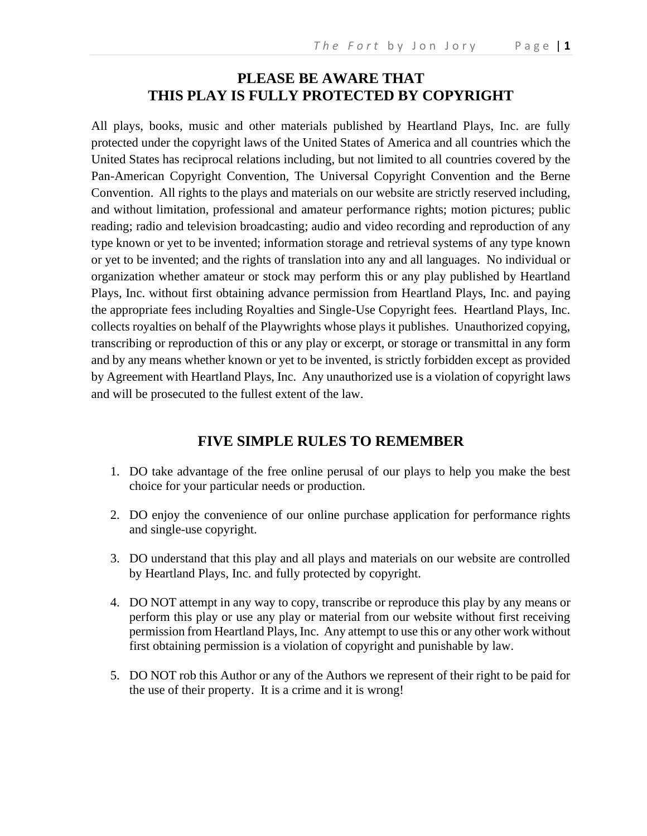# **PLEASE BE AWARE THAT THIS PLAY IS FULLY PROTECTED BY COPYRIGHT**

All plays, books, music and other materials published by Heartland Plays, Inc. are fully protected under the copyright laws of the United States of America and all countries which the United States has reciprocal relations including, but not limited to all countries covered by the Pan-American Copyright Convention, The Universal Copyright Convention and the Berne Convention. All rights to the plays and materials on our website are strictly reserved including, and without limitation, professional and amateur performance rights; motion pictures; public reading; radio and television broadcasting; audio and video recording and reproduction of any type known or yet to be invented; information storage and retrieval systems of any type known or yet to be invented; and the rights of translation into any and all languages. No individual or organization whether amateur or stock may perform this or any play published by Heartland Plays, Inc. without first obtaining advance permission from Heartland Plays, Inc. and paying the appropriate fees including Royalties and Single-Use Copyright fees. Heartland Plays, Inc. collects royalties on behalf of the Playwrights whose plays it publishes. Unauthorized copying, transcribing or reproduction of this or any play or excerpt, or storage or transmittal in any form and by any means whether known or yet to be invented, is strictly forbidden except as provided by Agreement with Heartland Plays, Inc. Any unauthorized use is a violation of copyright laws and will be prosecuted to the fullest extent of the law.

## **FIVE SIMPLE RULES TO REMEMBER**

- 1. DO take advantage of the free online perusal of our plays to help you make the best choice for your particular needs or production.
- 2. DO enjoy the convenience of our online purchase application for performance rights and single-use copyright.
- 3. DO understand that this play and all plays and materials on our website are controlled by Heartland Plays, Inc. and fully protected by copyright.
- 4. DO NOT attempt in any way to copy, transcribe or reproduce this play by any means or perform this play or use any play or material from our website without first receiving permission from Heartland Plays, Inc. Any attempt to use this or any other work without first obtaining permission is a violation of copyright and punishable by law.
- 5. DO NOT rob this Author or any of the Authors we represent of their right to be paid for the use of their property. It is a crime and it is wrong!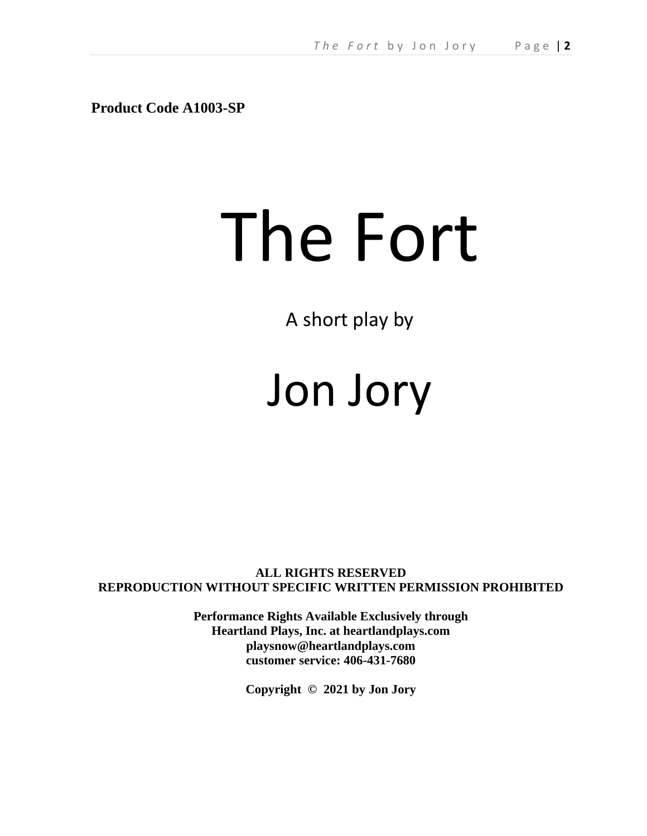**Product Code A1003-SP**

# The Fort

A short play by

Jon Jory

**ALL RIGHTS RESERVED REPRODUCTION WITHOUT SPECIFIC WRITTEN PERMISSION PROHIBITED**

> **Performance Rights Available Exclusively through Heartland Plays, Inc. at heartlandplays.com playsnow@heartlandplays.com customer service: 406-431-7680**

> > **Copyright © 2021 by Jon Jory**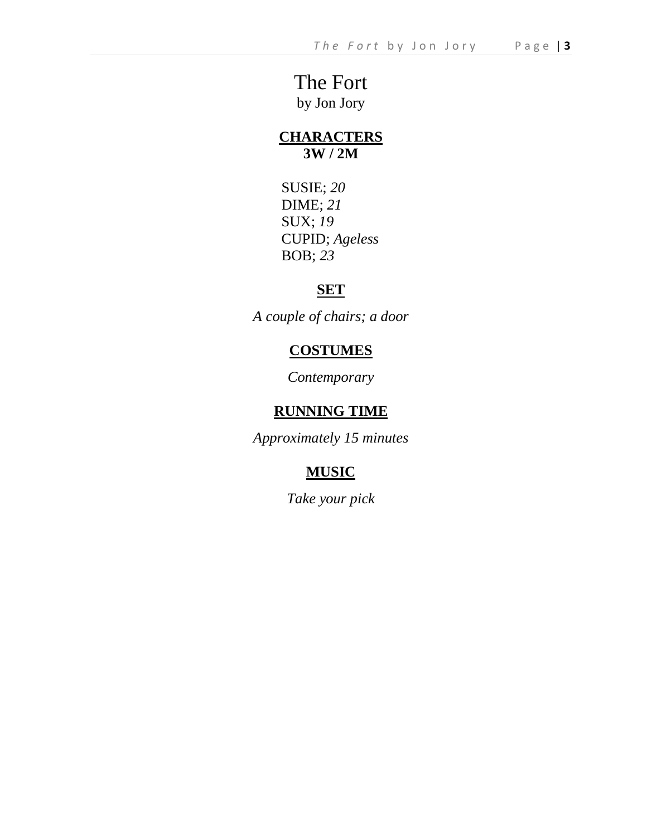# The Fort by Jon Jory

# **CHARACTERS 3W / 2M**

SUSIE; *20* DIME; *21* SUX; *19* CUPID; *Ageless* BOB; *23*

# **SET**

*A couple of chairs; a door*

# **COSTUMES**

*Contemporary*

# **RUNNING TIME**

*Approximately 15 minutes*

# **MUSIC**

*Take your pick*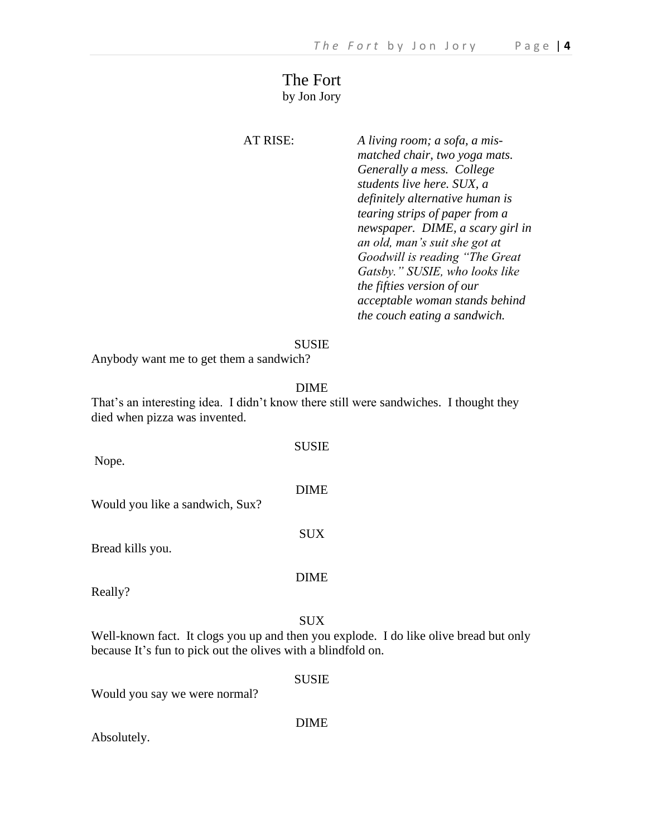## The Fort by Jon Jory

AT RISE: *A living room; a sofa, a mismatched chair, two yoga mats. Generally a mess. College students live here. SUX, a definitely alternative human is tearing strips of paper from a newspaper. DIME, a scary girl in an old, man's suit she got at Goodwill is reading "The Great Gatsby." SUSIE, who looks like the fifties version of our acceptable woman stands behind the couch eating a sandwich.*

#### SUSIE

Anybody want me to get them a sandwich?

#### DIME

That's an interesting idea. I didn't know there still were sandwiches. I thought they died when pizza was invented.

Nope.

#### DIME

SUX

SUSIE

Would you like a sandwich, Sux?

Bread kills you.

Really?

#### SUX

DIME

Well-known fact. It clogs you up and then you explode. I do like olive bread but only because It's fun to pick out the olives with a blindfold on.

SUSIE

Would you say we were normal?

DIME

Absolutely.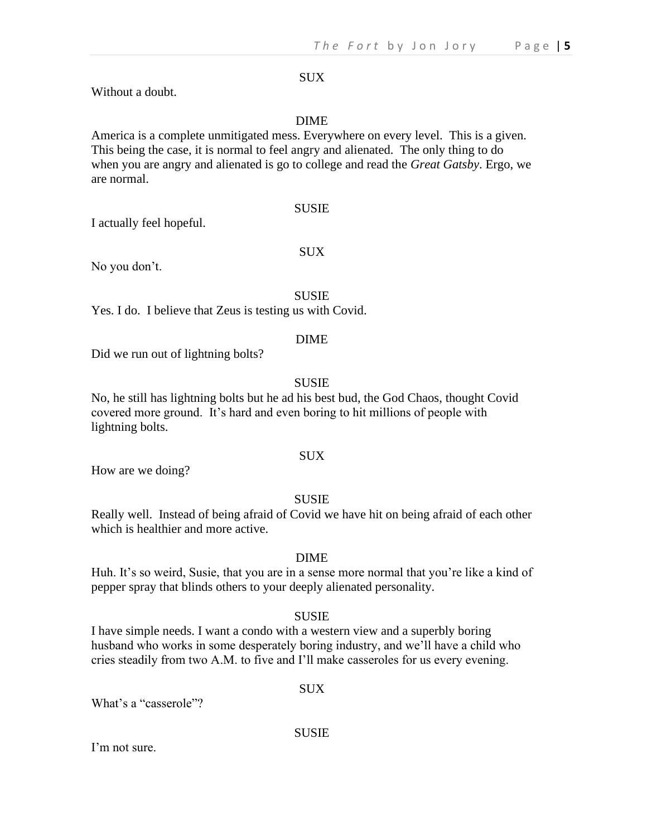#### SUX

Without a doubt.

#### DIME

America is a complete unmitigated mess. Everywhere on every level. This is a given. This being the case, it is normal to feel angry and alienated. The only thing to do when you are angry and alienated is go to college and read the *Great Gatsby*. Ergo, we are normal.

#### SUSIE

I actually feel hopeful.

#### SUX

No you don't.

SUSIE

Yes. I do. I believe that Zeus is testing us with Covid.

#### DIME

Did we run out of lightning bolts?

#### SUSIE

No, he still has lightning bolts but he ad his best bud, the God Chaos, thought Covid covered more ground. It's hard and even boring to hit millions of people with lightning bolts.

#### SUX

How are we doing?

#### SUSIE

Really well. Instead of being afraid of Covid we have hit on being afraid of each other which is healthier and more active.

#### DIME

Huh. It's so weird, Susie, that you are in a sense more normal that you're like a kind of pepper spray that blinds others to your deeply alienated personality.

#### SUSIE

I have simple needs. I want a condo with a western view and a superbly boring husband who works in some desperately boring industry, and we'll have a child who cries steadily from two A.M. to five and I'll make casseroles for us every evening.

#### SUX

What's a "casserole"?

SUSIE

I'm not sure.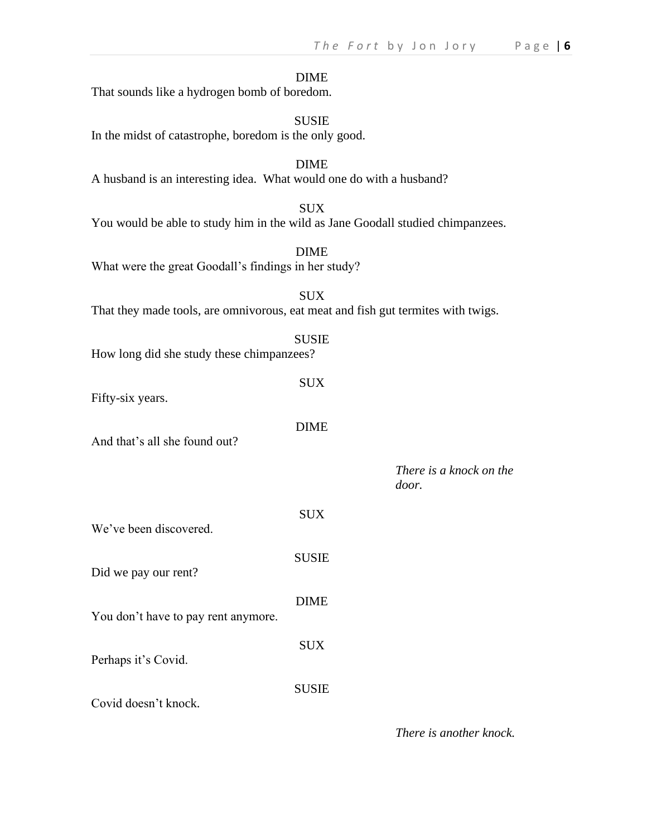#### DIME

That sounds like a hydrogen bomb of boredom.

SUSIE In the midst of catastrophe, boredom is the only good.

DIME A husband is an interesting idea. What would one do with a husband?

SUX You would be able to study him in the wild as Jane Goodall studied chimpanzees.

DIME What were the great Goodall's findings in her study?

SUX That they made tools, are omnivorous, eat meat and fish gut termites with twigs.

#### SUSIE

**SUX** 

DIME

**SUX** 

DIME

SUX

SUSIE

How long did she study these chimpanzees?

Fifty-six years.

And that's all she found out?

*There is a knock on the door.*

We've been discovered. SUSIE

Did we pay our rent?

You don't have to pay rent anymore.

Perhaps it's Covid.

Covid doesn't knock.

*There is another knock.*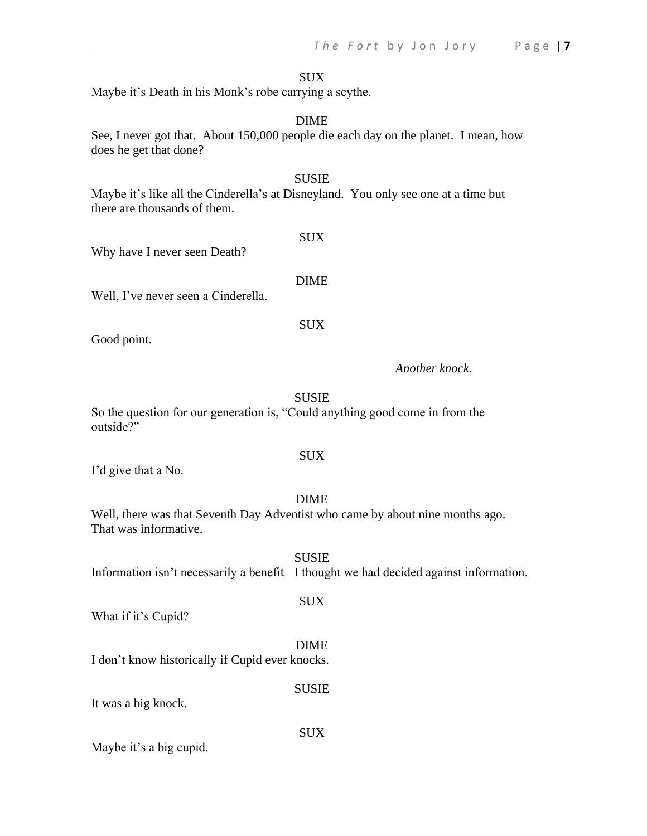#### **SUX**

Maybe it's Death in his Monk's robe carrying a scythe.

#### DIME

See, I never got that. About 150,000 people die each day on the planet. I mean, how does he get that done?

#### SUSIE

Maybe it's like all the Cinderella's at Disneyland. You only see one at a time but there are thousands of them.

#### SUX

Why have I never seen Death?

#### DIME

Well, I've never seen a Cinderella.

#### SUX

Good point.

#### *Another knock.*

#### SUSIE

So the question for our generation is, "Could anything good come in from the outside?"

#### I'd give that a No.

#### DIME

Well, there was that Seventh Day Adventist who came by about nine months ago. That was informative.

#### SUSIE

#### Information isn't necessarily a benefit− I thought we had decided against information.

SUX

What if it's Cupid?

#### DIME

I don't know historically if Cupid ever knocks.

### SUSIE

SUX

It was a big knock.

Maybe it's a big cupid.

SUX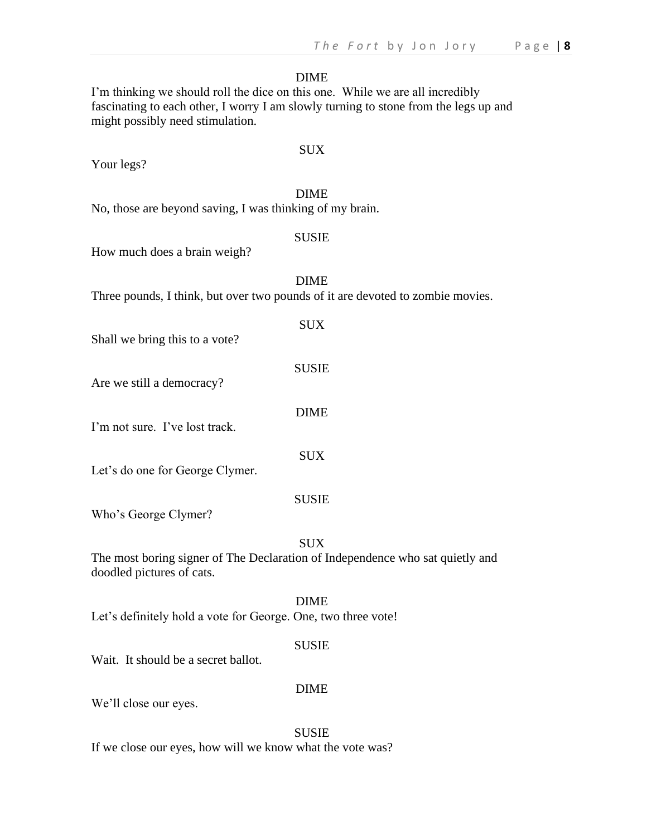#### DIME

I'm thinking we should roll the dice on this one. While we are all incredibly fascinating to each other, I worry I am slowly turning to stone from the legs up and might possibly need stimulation.

Your legs?

# SUX

#### DIME

No, those are beyond saving, I was thinking of my brain.

#### SUSIE

DIME

How much does a brain weigh?

| Shall we bring this to a vote?  | SUX         |  |
|---------------------------------|-------------|--|
| Are we still a democracy?       | SUSIE       |  |
| I'm not sure. I've lost track.  | <b>DIME</b> |  |
| Let's do one for George Clymer. | <b>SUX</b>  |  |
|                                 | SUS         |  |

Who's George Clymer?

SUX

The most boring signer of The Declaration of Independence who sat quietly and doodled pictures of cats.

DIME Let's definitely hold a vote for George. One, two three vote!

#### SUSIE

Wait. It should be a secret ballot.

#### DIME

We'll close our eyes.

SUSIE If we close our eyes, how will we know what the vote was?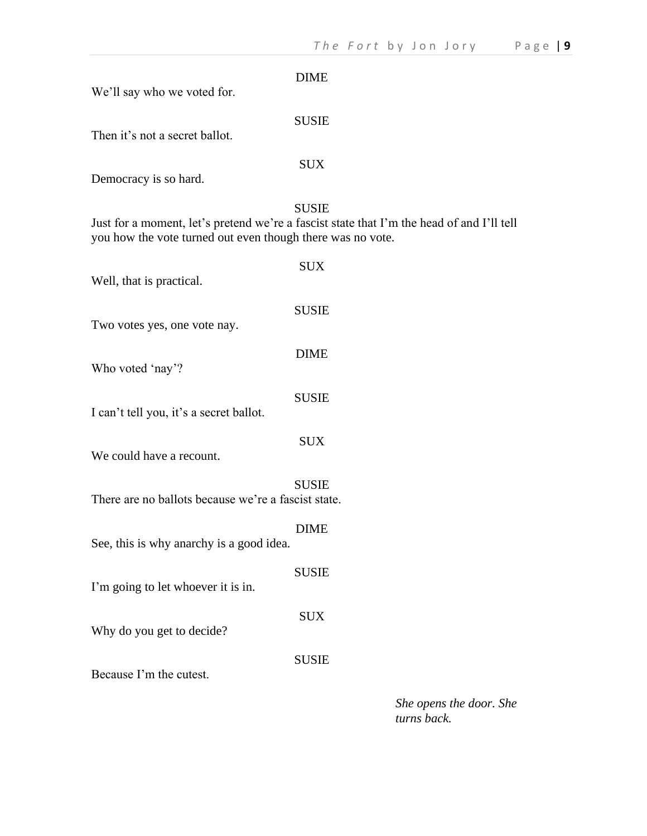| We'll say who we voted for.                                | <b>DIME</b>                                                                                               |
|------------------------------------------------------------|-----------------------------------------------------------------------------------------------------------|
| Then it's not a secret ballot.                             | <b>SUSIE</b>                                                                                              |
| Democracy is so hard.                                      | <b>SUX</b>                                                                                                |
| you how the vote turned out even though there was no vote. | <b>SUSIE</b><br>Just for a moment, let's pretend we're a fascist state that I'm the head of and I'll tell |
| Well, that is practical.                                   | <b>SUX</b>                                                                                                |
| Two votes yes, one vote nay.                               | <b>SUSIE</b>                                                                                              |
| Who voted 'nay'?                                           | <b>DIME</b>                                                                                               |
| I can't tell you, it's a secret ballot.                    | <b>SUSIE</b>                                                                                              |
| We could have a recount.                                   | <b>SUX</b>                                                                                                |
| There are no ballots because we're a fascist state.        | <b>SUSIE</b>                                                                                              |
| See, this is why anarchy is a good idea.                   | <b>DIME</b>                                                                                               |
| I'm going to let whoever it is in.                         | <b>SUSIE</b>                                                                                              |
| Why do you get to decide?                                  | <b>SUX</b>                                                                                                |
| Because I'm the cutest.                                    | <b>SUSIE</b>                                                                                              |

*She opens the door. She turns back.*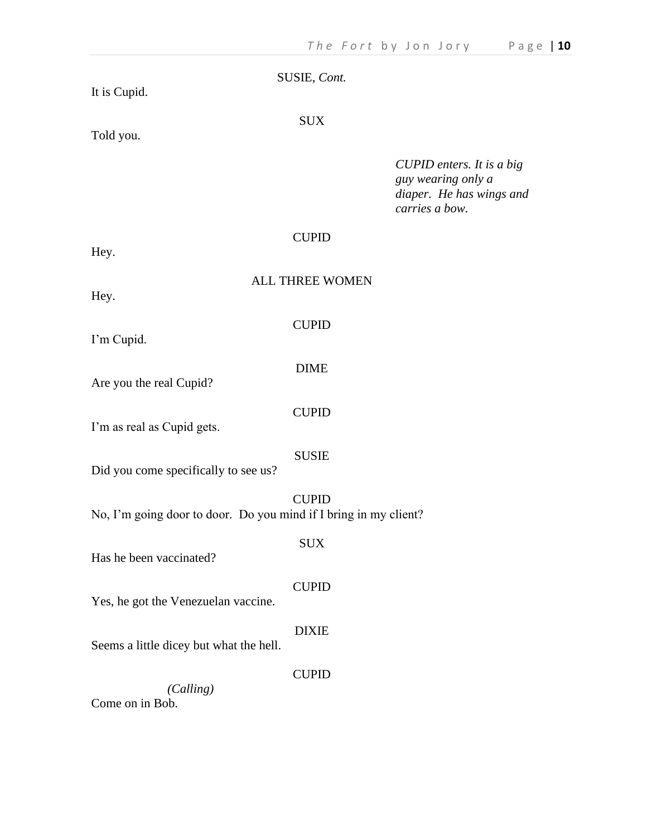| It is Cupid.                                                                     | SUSIE, Cont.    |                                                                                               |  |
|----------------------------------------------------------------------------------|-----------------|-----------------------------------------------------------------------------------------------|--|
| Told you.                                                                        | <b>SUX</b>      |                                                                                               |  |
|                                                                                  |                 | CUPID enters. It is a big<br>guy wearing only a<br>diaper. He has wings and<br>carries a bow. |  |
| Hey.                                                                             | <b>CUPID</b>    |                                                                                               |  |
| Hey.                                                                             | ALL THREE WOMEN |                                                                                               |  |
| I'm Cupid.                                                                       | <b>CUPID</b>    |                                                                                               |  |
| Are you the real Cupid?                                                          | <b>DIME</b>     |                                                                                               |  |
| I'm as real as Cupid gets.                                                       | <b>CUPID</b>    |                                                                                               |  |
| Did you come specifically to see us?                                             | <b>SUSIE</b>    |                                                                                               |  |
| <b>CUPID</b><br>No, I'm going door to door. Do you mind if I bring in my client? |                 |                                                                                               |  |
| Has he been vaccinated?                                                          | <b>SUX</b>      |                                                                                               |  |
| Yes, he got the Venezuelan vaccine.                                              | <b>CUPID</b>    |                                                                                               |  |
| Seems a little dicey but what the hell.                                          | <b>DIXIE</b>    |                                                                                               |  |
| (Calling)<br>Come on in Bob.                                                     | <b>CUPID</b>    |                                                                                               |  |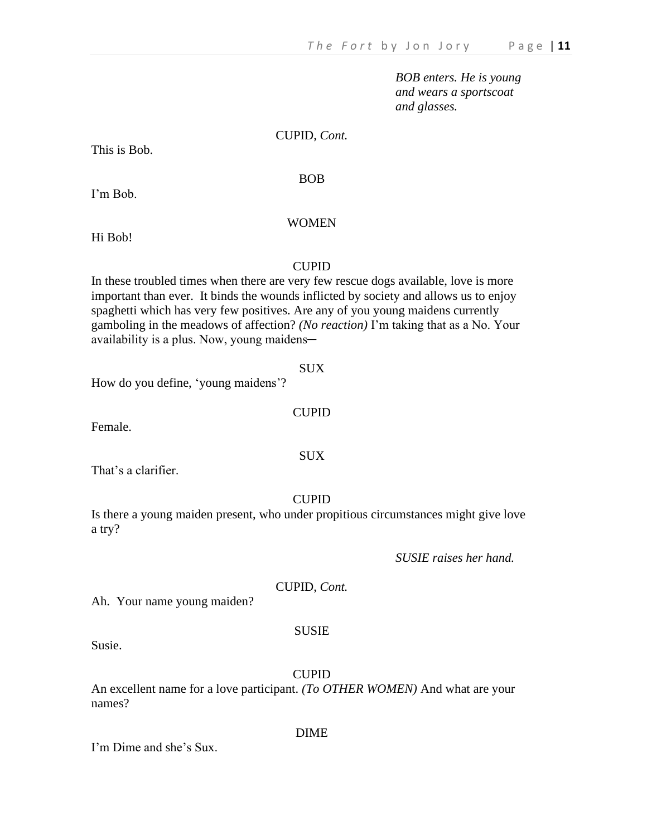*BOB enters. He is young and wears a sportscoat and glasses.*

#### CUPID, *Cont.*

This is Bob.

BOB

I'm Bob.

#### WOMEN

Hi Bob!

#### CUPID

In these troubled times when there are very few rescue dogs available, love is more important than ever. It binds the wounds inflicted by society and allows us to enjoy spaghetti which has very few positives. Are any of you young maidens currently gamboling in the meadows of affection? *(No reaction)* I'm taking that as a No. Your availability is a plus. Now, young maidens-

How do you define, 'young maidens'?

#### **CUPID**

SUX

Female.

#### SUX

That's a clarifier.

#### CUPID

Is there a young maiden present, who under propitious circumstances might give love a try?

*SUSIE raises her hand.*

#### CUPID, *Cont.*

Ah. Your name young maiden?

#### SUSIE

Susie.

#### **CUPID**

DIME

An excellent name for a love participant. *(To OTHER WOMEN)* And what are your names?

I'm Dime and she's Sux.